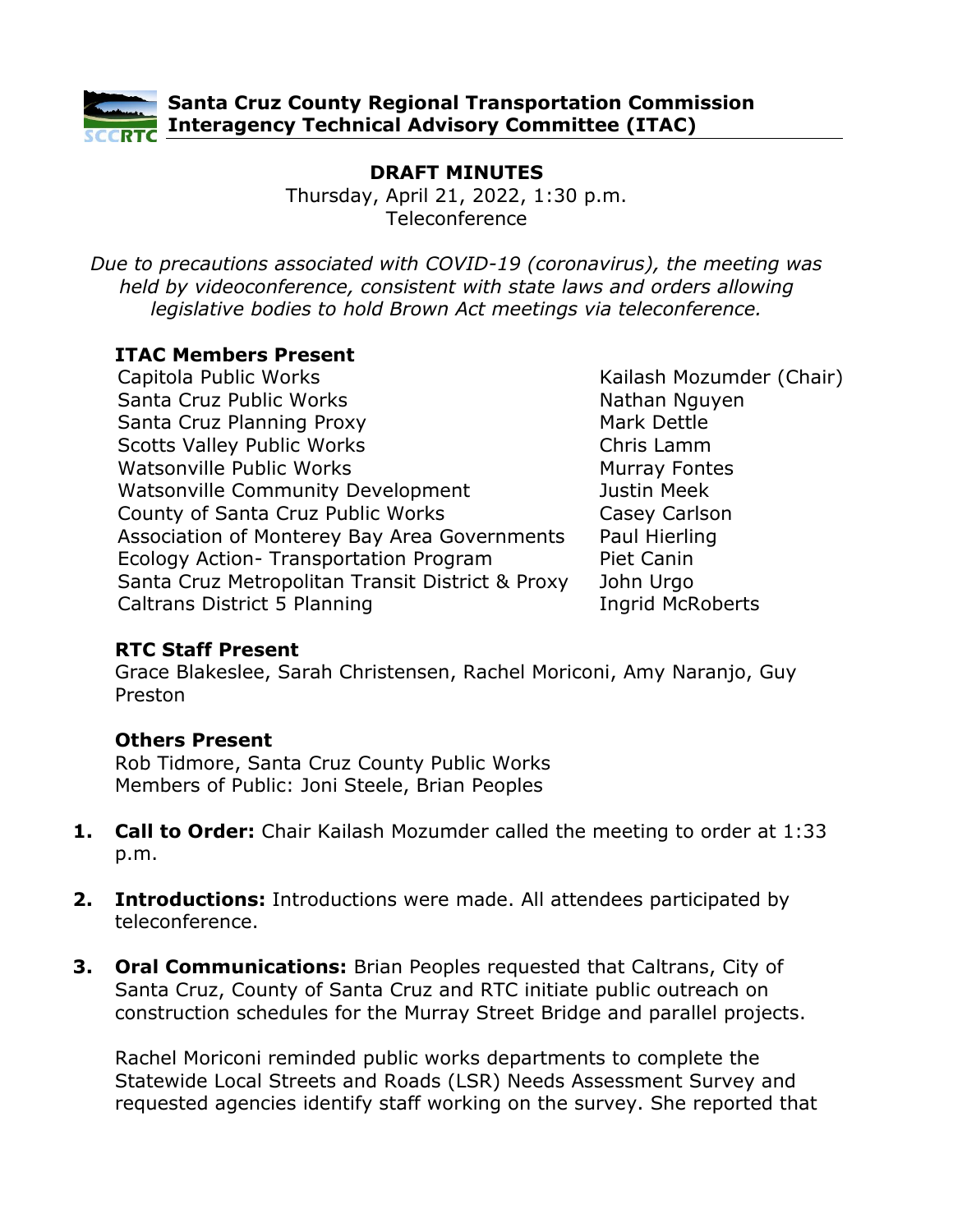

## **Santa Cruz County Regional Transportation Commission Interagency Technical Advisory Committee (ITAC)**

# **DRAFT MINUTES**

Thursday, April 21, 2022, 1:30 p.m. Teleconference

*Due to precautions associated with COVID-19 (coronavirus), the meeting was held by videoconference, consistent with state laws and orders allowing legislative bodies to hold Brown Act meetings via teleconference.*

#### **ITAC Members Present**

Capitola Public Works **Kailash Mozumder (Chair)** Kailash Mozumder (Chair) Santa Cruz Public Works Santa Cruz Planning Proxy Scotts Valley Public Works Chris Lamm Watsonville Public Works Watsonville Community Development County of Santa Cruz Public Works Casey Carlson Association of Monterey Bay Area Governments Paul Hierling Ecology Action- Transportation Program Santa Cruz Metropolitan Transit District & Proxy Caltrans District 5 Planning The Ingrid McRoberts

Nathan Nguyen Mark Dettle Murray Fontes Justin Meek Piet Canin John Urgo

#### **RTC Staff Present**

Grace Blakeslee, Sarah Christensen, Rachel Moriconi, Amy Naranjo, Guy Preston

### **Others Present**

Rob Tidmore, Santa Cruz County Public Works Members of Public: Joni Steele, Brian Peoples

- **1. Call to Order:** Chair Kailash Mozumder called the meeting to order at 1:33 p.m.
- **2. Introductions:** Introductions were made. All attendees participated by teleconference.
- **3. Oral Communications:** Brian Peoples requested that Caltrans, City of Santa Cruz, County of Santa Cruz and RTC initiate public outreach on construction schedules for the Murray Street Bridge and parallel projects.

Rachel Moriconi reminded public works departments to complete the Statewide Local Streets and Roads (LSR) Needs Assessment Survey and requested agencies identify staff working on the survey. She reported that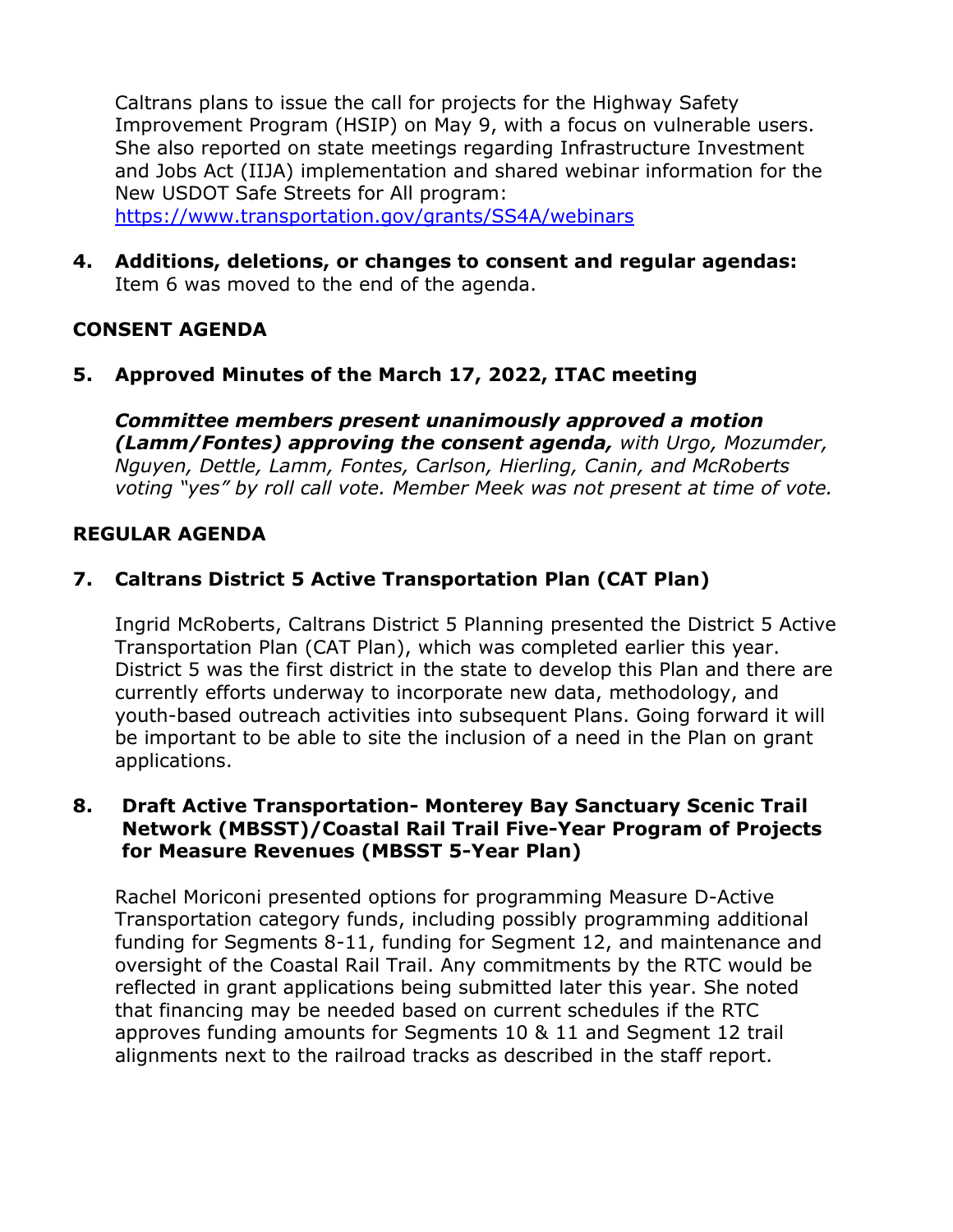Caltrans plans to issue the call for projects for the Highway Safety Improvement Program (HSIP) on May 9, with a focus on vulnerable users. She also reported on state meetings regarding Infrastructure Investment and Jobs Act (IIJA) implementation and shared webinar information for the New USDOT Safe Streets for All program: <https://www.transportation.gov/grants/SS4A/webinars>

**4. Additions, deletions, or changes to consent and regular agendas:** Item 6 was moved to the end of the agenda.

### **CONSENT AGENDA**

### **5. Approved Minutes of the March 17, 2022, ITAC meeting**

*Committee members present unanimously approved a motion (Lamm/Fontes) approving the consent agenda, with Urgo, Mozumder, Nguyen, Dettle, Lamm, Fontes, Carlson, Hierling, Canin, and McRoberts voting "yes" by roll call vote. Member Meek was not present at time of vote.*

#### **REGULAR AGENDA**

### **7. Caltrans District 5 Active Transportation Plan (CAT Plan)**

Ingrid McRoberts, Caltrans District 5 Planning presented the District 5 Active Transportation Plan (CAT Plan), which was completed earlier this year. District 5 was the first district in the state to develop this Plan and there are currently efforts underway to incorporate new data, methodology, and youth-based outreach activities into subsequent Plans. Going forward it will be important to be able to site the inclusion of a need in the Plan on grant applications.

#### **8. Draft Active Transportation- Monterey Bay Sanctuary Scenic Trail Network (MBSST)/Coastal Rail Trail Five-Year Program of Projects for Measure Revenues (MBSST 5-Year Plan)**

Rachel Moriconi presented options for programming Measure D-Active Transportation category funds, including possibly programming additional funding for Segments 8-11, funding for Segment 12, and maintenance and oversight of the Coastal Rail Trail. Any commitments by the RTC would be reflected in grant applications being submitted later this year. She noted that financing may be needed based on current schedules if the RTC approves funding amounts for Segments 10 & 11 and Segment 12 trail alignments next to the railroad tracks as described in the staff report.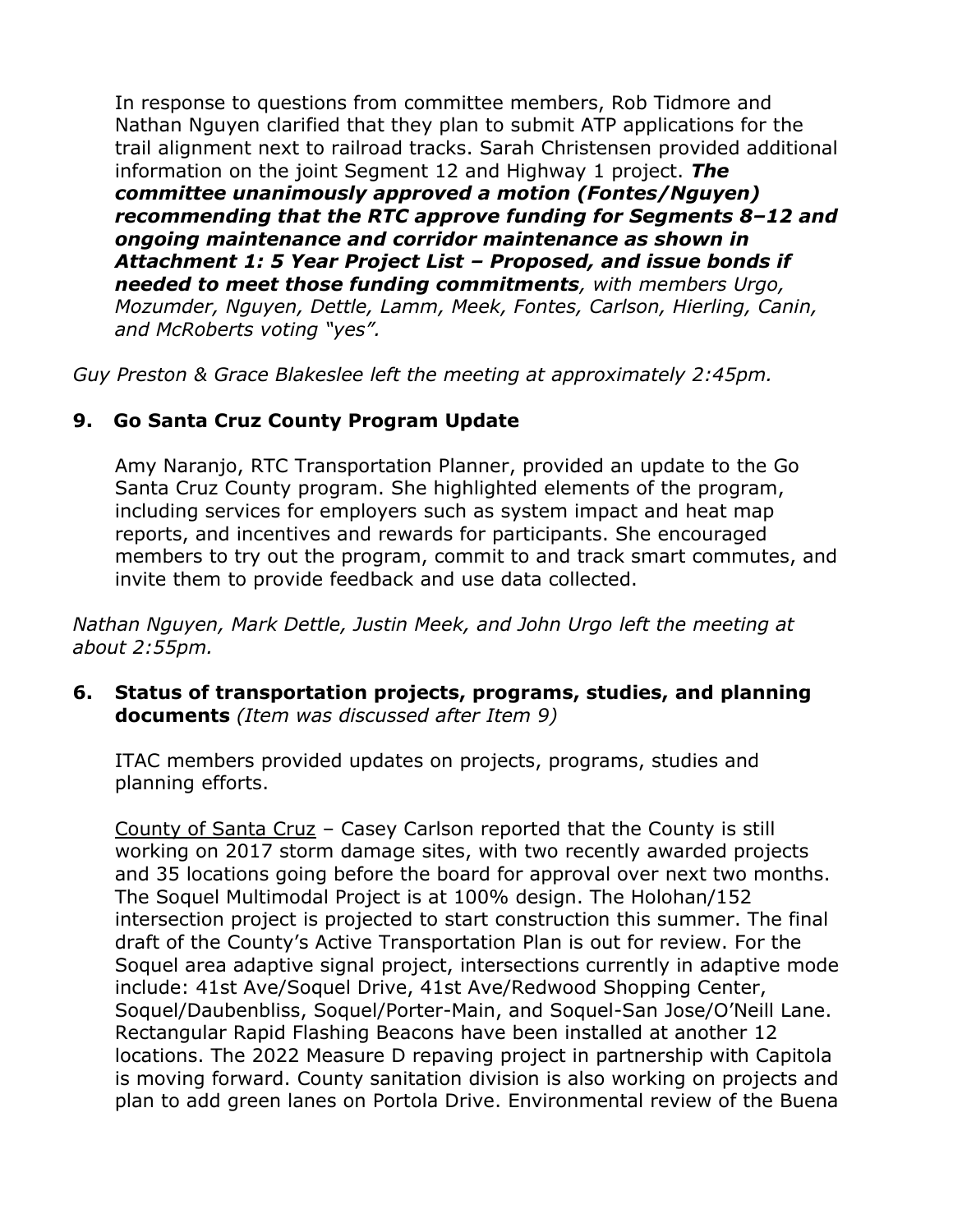In response to questions from committee members, Rob Tidmore and Nathan Nguyen clarified that they plan to submit ATP applications for the trail alignment next to railroad tracks. Sarah Christensen provided additional information on the joint Segment 12 and Highway 1 project. *The committee unanimously approved a motion (Fontes/Nguyen) recommending that the RTC approve funding for Segments 8–12 and ongoing maintenance and corridor maintenance as shown in Attachment 1: 5 Year Project List – Proposed, and issue bonds if needed to meet those funding commitments, with members Urgo, Mozumder, Nguyen, Dettle, Lamm, Meek, Fontes, Carlson, Hierling, Canin, and McRoberts voting "yes".*

*Guy Preston & Grace Blakeslee left the meeting at approximately 2:45pm.*

## **9. Go Santa Cruz County Program Update**

Amy Naranjo, RTC Transportation Planner, provided an update to the Go Santa Cruz County program. She highlighted elements of the program, including services for employers such as system impact and heat map reports, and incentives and rewards for participants. She encouraged members to try out the program, commit to and track smart commutes, and invite them to provide feedback and use data collected.

*Nathan Nguyen, Mark Dettle, Justin Meek, and John Urgo left the meeting at about 2:55pm.*

**6. Status of transportation projects, programs, studies, and planning documents** *(Item was discussed after Item 9)*

ITAC members provided updates on projects, programs, studies and planning efforts.

County of Santa Cruz – Casey Carlson reported that the County is still working on 2017 storm damage sites, with two recently awarded projects and 35 locations going before the board for approval over next two months. The Soquel Multimodal Project is at 100% design. The Holohan/152 intersection project is projected to start construction this summer. The final draft of the County's Active Transportation Plan is out for review. For the Soquel area adaptive signal project, intersections currently in adaptive mode include: 41st Ave/Soquel Drive, 41st Ave/Redwood Shopping Center, Soquel/Daubenbliss, Soquel/Porter-Main, and Soquel-San Jose/O'Neill Lane. Rectangular Rapid Flashing Beacons have been installed at another 12 locations. The 2022 Measure D repaving project in partnership with Capitola is moving forward. County sanitation division is also working on projects and plan to add green lanes on Portola Drive. Environmental review of the Buena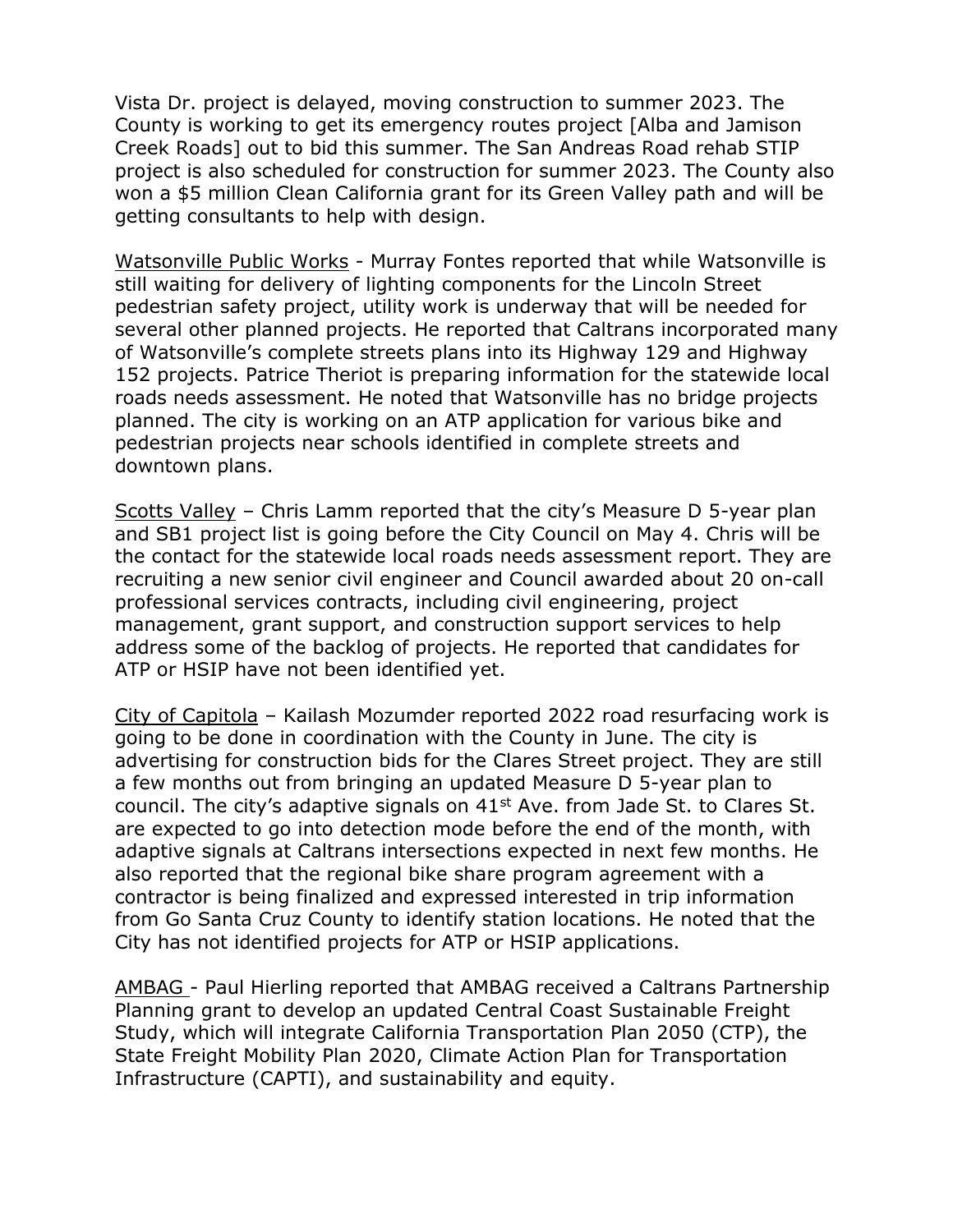Vista Dr. project is delayed, moving construction to summer 2023. The County is working to get its emergency routes project [Alba and Jamison Creek Roads] out to bid this summer. The San Andreas Road rehab STIP project is also scheduled for construction for summer 2023. The County also won a \$5 million Clean California grant for its Green Valley path and will be getting consultants to help with design.

Watsonville Public Works - Murray Fontes reported that while Watsonville is still waiting for delivery of lighting components for the Lincoln Street pedestrian safety project, utility work is underway that will be needed for several other planned projects. He reported that Caltrans incorporated many of Watsonville's complete streets plans into its Highway 129 and Highway 152 projects. Patrice Theriot is preparing information for the statewide local roads needs assessment. He noted that Watsonville has no bridge projects planned. The city is working on an ATP application for various bike and pedestrian projects near schools identified in complete streets and downtown plans.

Scotts Valley – Chris Lamm reported that the city's Measure D 5-year plan and SB1 project list is going before the City Council on May 4. Chris will be the contact for the statewide local roads needs assessment report. They are recruiting a new senior civil engineer and Council awarded about 20 on-call professional services contracts, including civil engineering, project management, grant support, and construction support services to help address some of the backlog of projects. He reported that candidates for ATP or HSIP have not been identified yet.

City of Capitola – Kailash Mozumder reported 2022 road resurfacing work is going to be done in coordination with the County in June. The city is advertising for construction bids for the Clares Street project. They are still a few months out from bringing an updated Measure D 5-year plan to council. The city's adaptive signals on 41<sup>st</sup> Ave. from Jade St. to Clares St. are expected to go into detection mode before the end of the month, with adaptive signals at Caltrans intersections expected in next few months. He also reported that the regional bike share program agreement with a contractor is being finalized and expressed interested in trip information from Go Santa Cruz County to identify station locations. He noted that the City has not identified projects for ATP or HSIP applications.

AMBAG - Paul Hierling reported that AMBAG received a Caltrans Partnership Planning grant to develop an updated Central Coast Sustainable Freight Study, which will integrate California Transportation Plan 2050 (CTP), the State Freight Mobility Plan 2020, Climate Action Plan for Transportation Infrastructure (CAPTI), and sustainability and equity.